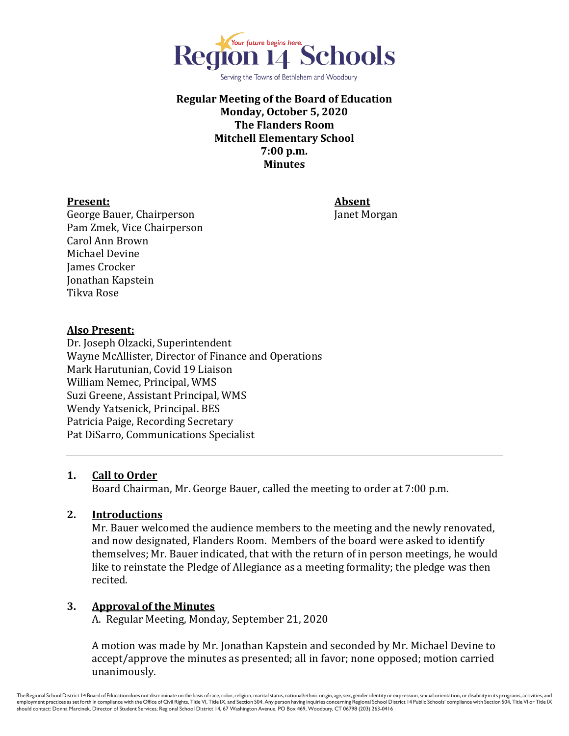

Serving the Towns of Bethlehem and Woodbury

## **Regular Meeting of the Board of Education Monday, October 5, 2020 The Flanders Room Mitchell Elementary School 7:00 p.m. Minutes**

#### **Present: Absent**

George Bauer, Chairperson Janet Morgan Pam Zmek, Vice Chairperson Carol Ann Brown Michael Devine James Crocker Jonathan Kapstein Tikva Rose

### **Also Present:**

Dr. Joseph Olzacki, Superintendent Wayne McAllister, Director of Finance and Operations Mark Harutunian, Covid 19 Liaison William Nemec, Principal, WMS Suzi Greene, Assistant Principal, WMS Wendy Yatsenick, Principal. BES Patricia Paige, Recording Secretary Pat DiSarro, Communications Specialist

## **1. Call to Order**

Board Chairman, Mr. George Bauer, called the meeting to order at 7:00 p.m.

## **2. Introductions**

Mr. Bauer welcomed the audience members to the meeting and the newly renovated, and now designated, Flanders Room. Members of the board were asked to identify themselves; Mr. Bauer indicated, that with the return of in person meetings, he would like to reinstate the Pledge of Allegiance as a meeting formality; the pledge was then recited.

## **3. Approval of the Minutes**

A. Regular Meeting, Monday, September 21, 2020

A motion was made by Mr. Jonathan Kapstein and seconded by Mr. Michael Devine to accept/approve the minutes as presented; all in favor; none opposed; motion carried unanimously.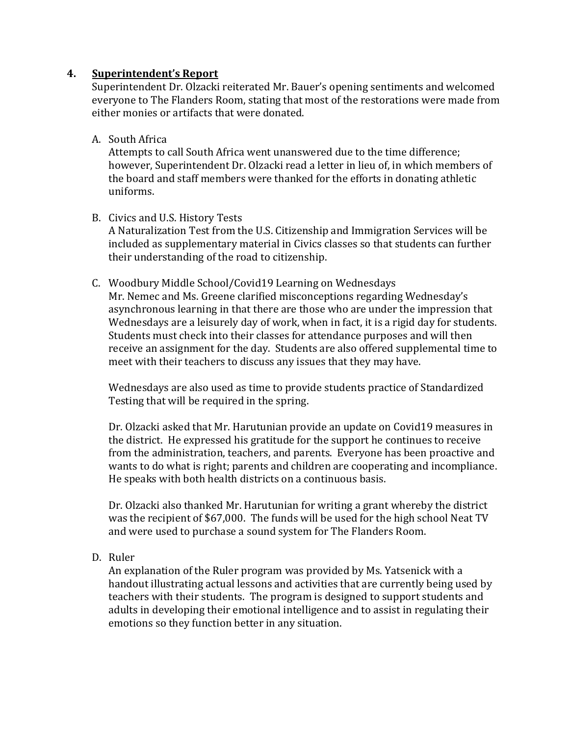### **4. Superintendent's Report**

Superintendent Dr. Olzacki reiterated Mr. Bauer's opening sentiments and welcomed everyone to The Flanders Room, stating that most of the restorations were made from either monies or artifacts that were donated.

A. South Africa

Attempts to call South Africa went unanswered due to the time difference; however, Superintendent Dr. Olzacki read a letter in lieu of, in which members of the board and staff members were thanked for the efforts in donating athletic uniforms.

B. Civics and U.S. History Tests

A Naturalization Test from the U.S. Citizenship and Immigration Services will be included as supplementary material in Civics classes so that students can further their understanding of the road to citizenship.

C. Woodbury Middle School/Covid19 Learning on Wednesdays

Mr. Nemec and Ms. Greene clarified misconceptions regarding Wednesday's asynchronous learning in that there are those who are under the impression that Wednesdays are a leisurely day of work, when in fact, it is a rigid day for students. Students must check into their classes for attendance purposes and will then receive an assignment for the day. Students are also offered supplemental time to meet with their teachers to discuss any issues that they may have.

Wednesdays are also used as time to provide students practice of Standardized Testing that will be required in the spring.

Dr. Olzacki asked that Mr. Harutunian provide an update on Covid19 measures in the district. He expressed his gratitude for the support he continues to receive from the administration, teachers, and parents. Everyone has been proactive and wants to do what is right; parents and children are cooperating and incompliance. He speaks with both health districts on a continuous basis.

Dr. Olzacki also thanked Mr. Harutunian for writing a grant whereby the district was the recipient of \$67,000. The funds will be used for the high school Neat TV and were used to purchase a sound system for The Flanders Room.

D. Ruler

An explanation of the Ruler program was provided by Ms. Yatsenick with a handout illustrating actual lessons and activities that are currently being used by teachers with their students. The program is designed to support students and adults in developing their emotional intelligence and to assist in regulating their emotions so they function better in any situation.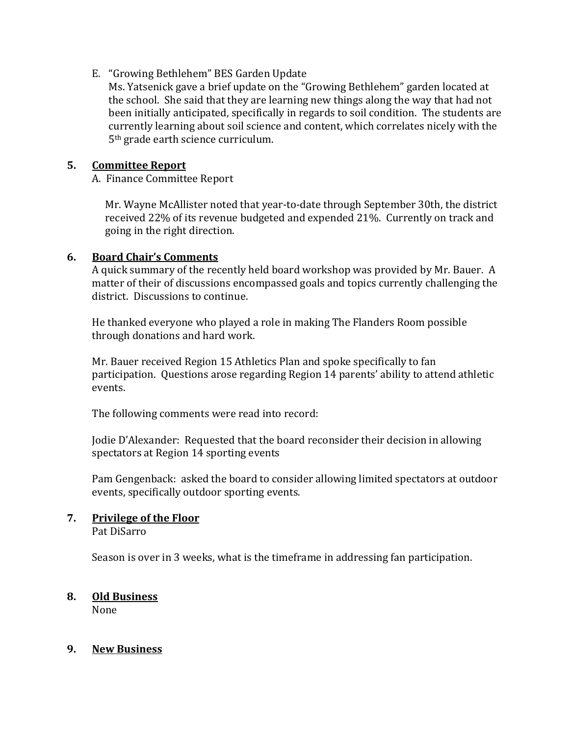## E. "Growing Bethlehem" BES Garden Update

Ms. Yatsenick gave a brief update on the "Growing Bethlehem" garden located at the school. She said that they are learning new things along the way that had not been initially anticipated, specifically in regards to soil condition. The students are currently learning about soil science and content, which correlates nicely with the 5th grade earth science curriculum.

### **5. Committee Report**

A. Finance Committee Report

 Mr. Wayne McAllister noted that year-to-date through September 30th, the district received 22% of its revenue budgeted and expended 21%. Currently on track and going in the right direction.

### **6. Board Chair's Comments**

A quick summary of the recently held board workshop was provided by Mr. Bauer. A matter of their of discussions encompassed goals and topics currently challenging the district. Discussions to continue.

He thanked everyone who played a role in making The Flanders Room possible through donations and hard work.

Mr. Bauer received Region 15 Athletics Plan and spoke specifically to fan participation. Questions arose regarding Region 14 parents' ability to attend athletic events.

The following comments were read into record:

Jodie D'Alexander: Requested that the board reconsider their decision in allowing spectators at Region 14 sporting events

Pam Gengenback: asked the board to consider allowing limited spectators at outdoor events, specifically outdoor sporting events.

## **7. Privilege of the Floor**

Pat DiSarro

Season is over in 3 weeks, what is the timeframe in addressing fan participation.

# **8. Old Business**

None

## **9. New Business**